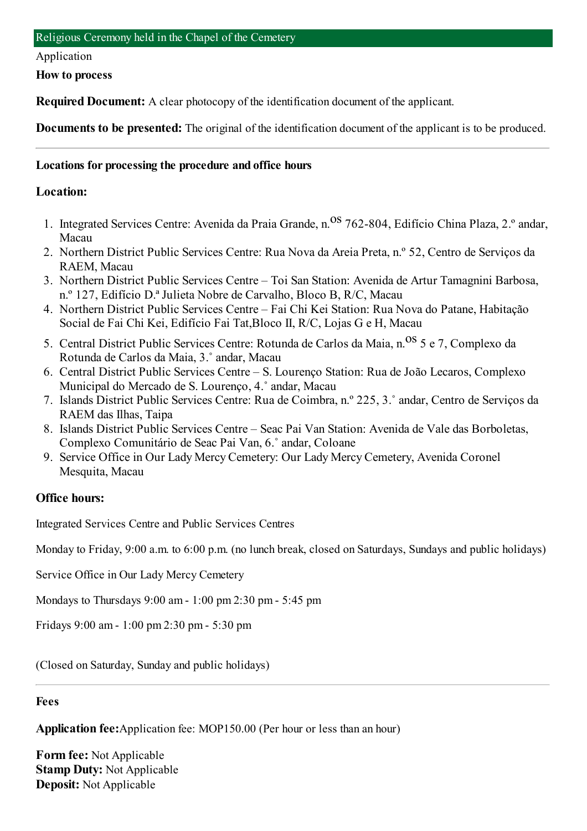#### Application

**How to process**

**Required Document:** A clear photocopy of the identification document of the applicant.

**Documents to be presented:** The original of the identification document of the applicant is to be produced.

### **Locations for processing the procedure and office hours**

#### **Location:**

- 1. Integrated Services Centre: Avenida da Praia Grande, n. Os 762-804, Edifício China Plaza, 2.º andar, Macau
- 2. Northern District Public Services Centre: Rua Nova da Areia Preta, n.º 52, Centro de Serviços da RAEM, Macau
- 3. Northern District Public Services Centre Toi San Station: Avenida de Artur Tamagnini Barbosa, n.º 127, Edifício D.ª Julieta Nobre de Carvalho, Bloco B, R/C, Macau
- 4. Northern District Public Services Centre Fai Chi Kei Station: Rua Nova do Patane, Habitação Social de Fai Chi Kei, Edifício Fai Tat,Bloco II, R/C, Lojas G e H, Macau
- 5. Central District Public Services Centre: Rotunda de Carlos da Maia, n. <sup>OS</sup> 5 e 7, Complexo da Rotunda de Carlos da Maia, 3.˚ andar, Macau
- 6. Central District Public Services Centre S. Lourenço Station: Rua de João Lecaros, Complexo Municipal do Mercado de S. Lourenço, 4.˚ andar, Macau
- 7. Islands District Public Services Centre: Rua de Coimbra, n.º 225, 3.˚ andar, Centro de Serviços da RAEM das Ilhas, Taipa
- 8. Islands District Public Services Centre Seac Pai Van Station: Avenida de Vale das Borboletas, Complexo Comunitário de Seac Pai Van, 6.˚ andar, Coloane
- 9. Service Office in Our Lady Mercy Cemetery: Our Lady Mercy Cemetery, Avenida Coronel Mesquita, Macau

### **Office hours:**

Integrated Services Centre and Public Services Centres

Monday to Friday, 9:00 a.m. to 6:00 p.m. (no lunch break, closed on Saturdays, Sundays and public holidays)

Service Office in Our Lady Mercy Cemetery

Mondays to Thursdays 9:00 am- 1:00 pm2:30 pm- 5:45 pm

Fridays 9:00 am- 1:00 pm2:30 pm- 5:30 pm

(Closed on Saturday, Sunday and public holidays)

#### **Fees**

**Application fee:**Application fee: MOP150.00 (Per hour or less than an hour)

**Form fee:** Not Applicable **Stamp Duty:** Not Applicable **Deposit:** Not Applicable